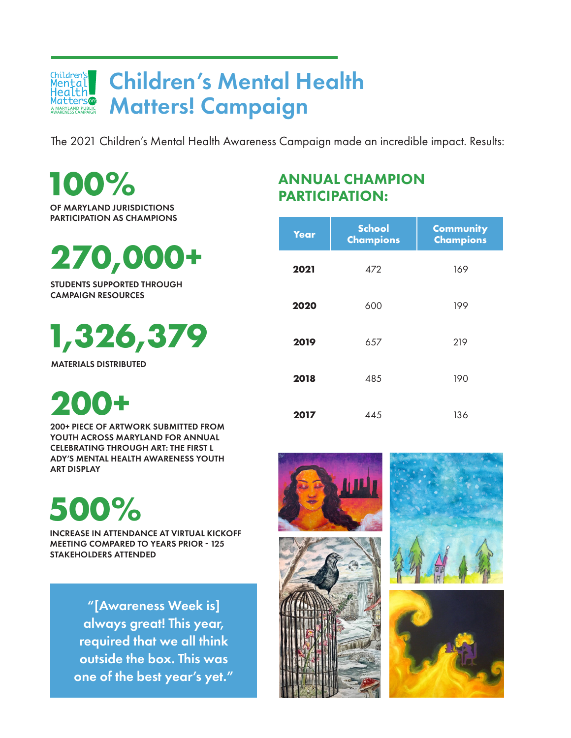#### Children's Mental Health Children'<mark>s</mark><br>Mental **RALLAND CONSULAND CONSULANDER**<br>Atters@ Matters! Campaign AWARENESS

The 2021 Children's Mental Health Awareness Campaign made an incredible impact. Results:

**100%** OF MARYLAND JURISDICTIONS PARTICIPATION AS CHAMPIONS

**270,000+**

STUDENTS SUPPORTED THROUGH CAMPAIGN RESOURCES

**1,326,379** 

MATERIALS DISTRIBUTED

**200+**

200+ PIECE OF ARTWORK SUBMITTED FROM YOUTH ACROSS MARYLAND FOR ANNUAL CELEBRATING THROUGH ART: THE FIRST L ADY'S MENTAL HEALTH AWARENESS YOUTH ART DISPLAY

**500%**

INCREASE IN ATTENDANCE AT VIRTUAL KICKOFF MEETING COMPARED TO YEARS PRIOR - 125 STAKEHOLDERS ATTENDED

> "[Awareness Week is] always great! This year, required that we all think outside the box. This was one of the best year's yet."

### ANNUAL CHAMPION PARTICIPATION:

| Year | <b>School</b><br><b>Champions</b> | <b>Community</b><br><b>Champions</b> |
|------|-----------------------------------|--------------------------------------|
| 2021 | 472                               | 169                                  |
| 2020 | 600                               | 199                                  |
| 2019 | 657                               | 219                                  |
| 2018 | 485                               | 190                                  |
| 2017 | 445                               | 136                                  |